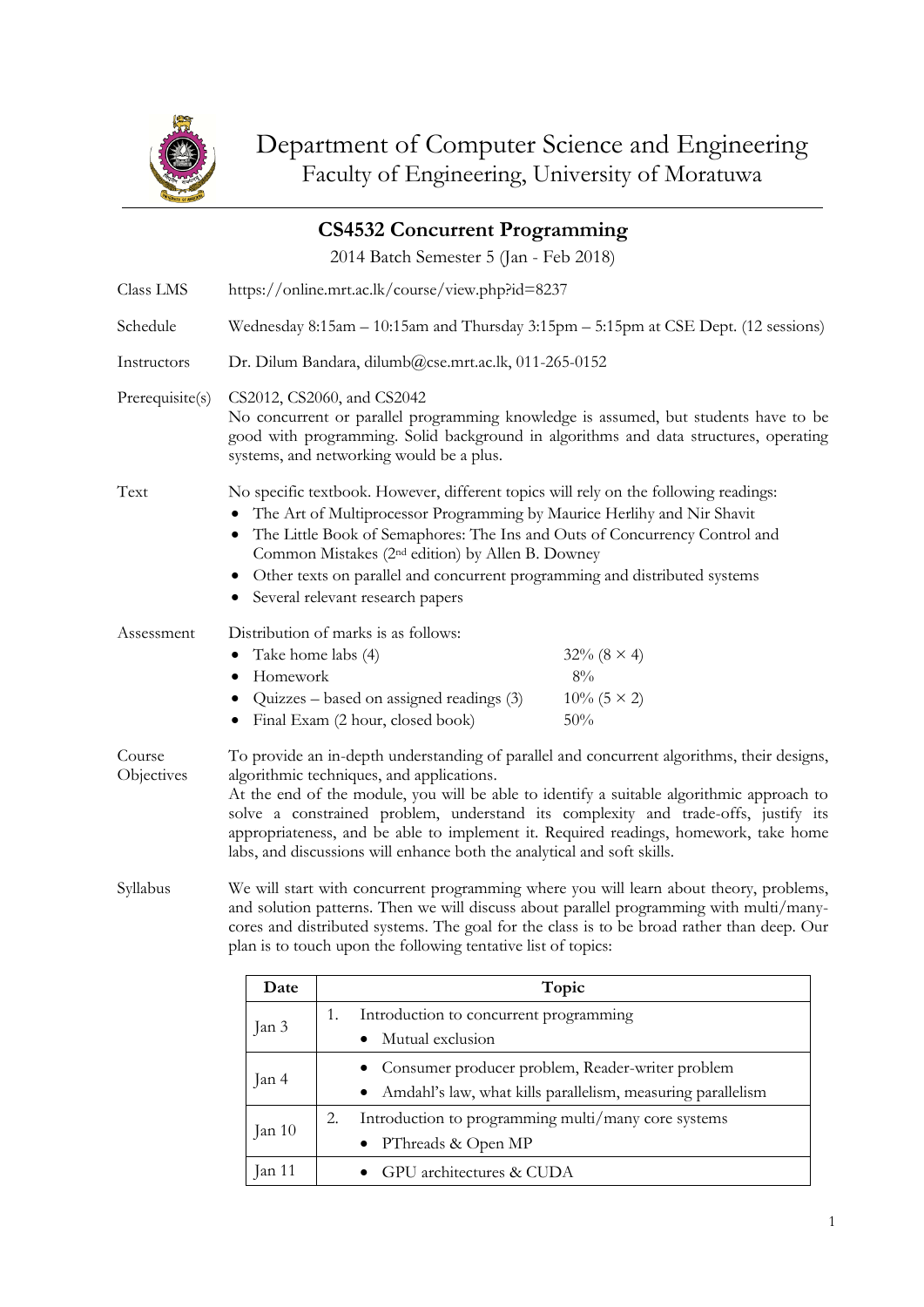

Jan 3

Jan 4

Jan 10

|                                                                                                                                                                                                                                                                                                                                                              |                                                       | <b>CS4532 Concurrent Programming</b>                                                                                                                                                                                                                                                                                                                                                                                            |                                                                                                                                                                                                                                                                                                                                                                       |  |
|--------------------------------------------------------------------------------------------------------------------------------------------------------------------------------------------------------------------------------------------------------------------------------------------------------------------------------------------------------------|-------------------------------------------------------|---------------------------------------------------------------------------------------------------------------------------------------------------------------------------------------------------------------------------------------------------------------------------------------------------------------------------------------------------------------------------------------------------------------------------------|-----------------------------------------------------------------------------------------------------------------------------------------------------------------------------------------------------------------------------------------------------------------------------------------------------------------------------------------------------------------------|--|
|                                                                                                                                                                                                                                                                                                                                                              |                                                       | 2014 Batch Semester 5 (Jan - Feb 2018)                                                                                                                                                                                                                                                                                                                                                                                          |                                                                                                                                                                                                                                                                                                                                                                       |  |
| Class LMS                                                                                                                                                                                                                                                                                                                                                    |                                                       | https://online.mrt.ac.lk/course/view.php?id=8237                                                                                                                                                                                                                                                                                                                                                                                |                                                                                                                                                                                                                                                                                                                                                                       |  |
| Schedule                                                                                                                                                                                                                                                                                                                                                     |                                                       | Wednesday 8:15am – 10:15am and Thursday 3:15pm – 5:15pm at CSE Dept. (12 sessions)                                                                                                                                                                                                                                                                                                                                              |                                                                                                                                                                                                                                                                                                                                                                       |  |
| Instructors                                                                                                                                                                                                                                                                                                                                                  |                                                       | Dr. Dilum Bandara, dilumb@cse.mrt.ac.lk, 011-265-0152                                                                                                                                                                                                                                                                                                                                                                           |                                                                                                                                                                                                                                                                                                                                                                       |  |
| Prerequisite(s)                                                                                                                                                                                                                                                                                                                                              |                                                       | CS2012, CS2060, and CS2042<br>No concurrent or parallel programming knowledge is assumed, but students have to be<br>good with programming. Solid background in algorithms and data structures, operating<br>systems, and networking would be a plus.                                                                                                                                                                           |                                                                                                                                                                                                                                                                                                                                                                       |  |
| Text                                                                                                                                                                                                                                                                                                                                                         | ٠<br>٠                                                | No specific textbook. However, different topics will rely on the following readings:<br>The Art of Multiprocessor Programming by Maurice Herlihy and Nir Shavit<br>The Little Book of Semaphores: The Ins and Outs of Concurrency Control and<br>Common Mistakes (2 <sup>nd</sup> edition) by Allen B. Downey<br>Other texts on parallel and concurrent programming and distributed systems<br>Several relevant research papers |                                                                                                                                                                                                                                                                                                                                                                       |  |
| Assessment                                                                                                                                                                                                                                                                                                                                                   | Take home labs (4)<br>٠<br>Homework<br>$\bullet$<br>٠ | Distribution of marks is as follows:<br>Quizzes – based on assigned readings (3)<br>Final Exam (2 hour, closed book)                                                                                                                                                                                                                                                                                                            | $32\% (8 \times 4)$<br>$8\%$<br>$10\%$ (5 × 2)<br>50%                                                                                                                                                                                                                                                                                                                 |  |
| Course<br>Objectives                                                                                                                                                                                                                                                                                                                                         |                                                       | algorithmic techniques, and applications.<br>labs, and discussions will enhance both the analytical and soft skills.                                                                                                                                                                                                                                                                                                            | To provide an in-depth understanding of parallel and concurrent algorithms, their designs,<br>At the end of the module, you will be able to identify a suitable algorithmic approach to<br>solve a constrained problem, understand its complexity and trade-offs, justify its<br>appropriateness, and be able to implement it. Required readings, homework, take home |  |
| Syllabus<br>We will start with concurrent programming where you will learn about theory, problems,<br>and solution patterns. Then we will discuss about parallel programming with multi/many-<br>cores and distributed systems. The goal for the class is to be broad rather than deep. Our<br>plan is to touch upon the following tentative list of topics: |                                                       |                                                                                                                                                                                                                                                                                                                                                                                                                                 |                                                                                                                                                                                                                                                                                                                                                                       |  |
|                                                                                                                                                                                                                                                                                                                                                              | Date                                                  |                                                                                                                                                                                                                                                                                                                                                                                                                                 | Topic                                                                                                                                                                                                                                                                                                                                                                 |  |
|                                                                                                                                                                                                                                                                                                                                                              | 1.<br>Introduction to concurrent programming          |                                                                                                                                                                                                                                                                                                                                                                                                                                 |                                                                                                                                                                                                                                                                                                                                                                       |  |

• Mutual exclusion

• PThreads & Open MP

Jan 11 • GPU architectures & CUDA

• Consumer producer problem, Reader-writer problem • Amdahl's law, what kills parallelism, measuring parallelism

2. Introduction to programming multi/many core systems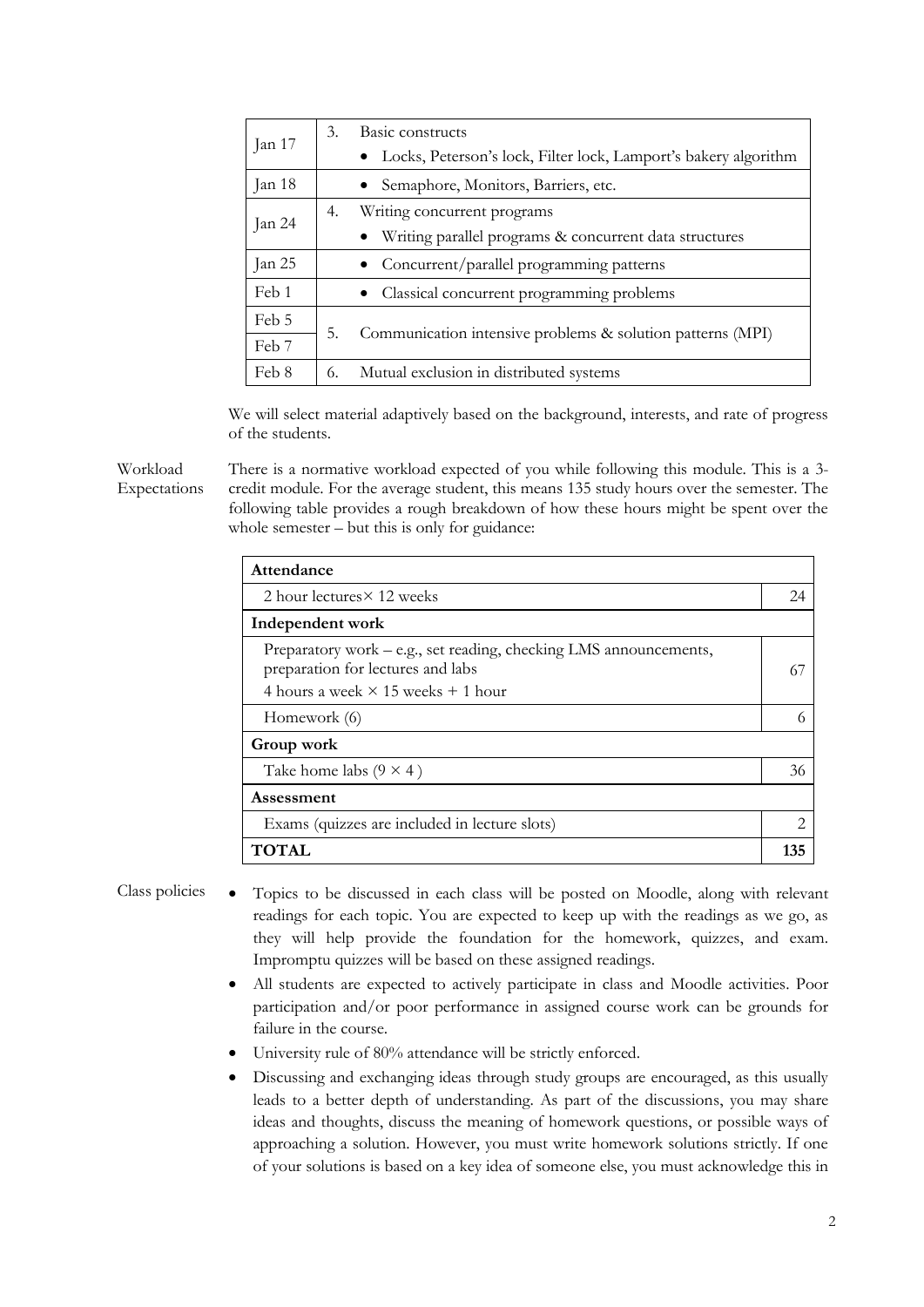| Jan 17 | Basic constructs<br>3.<br>Locks, Peterson's lock, Filter lock, Lamport's bakery algorithm |                                                            |        |  |
|--------|-------------------------------------------------------------------------------------------|------------------------------------------------------------|--------|--|
|        |                                                                                           |                                                            | Jan 18 |  |
| Jan 24 | 4.                                                                                        | Writing concurrent programs                                |        |  |
|        |                                                                                           | Writing parallel programs & concurrent data structures     |        |  |
| Jan 25 |                                                                                           | Concurrent/parallel programming patterns                   |        |  |
| Feb 1  |                                                                                           | Classical concurrent programming problems                  |        |  |
| Feb 5  | 5.                                                                                        | Communication intensive problems & solution patterns (MPI) |        |  |
| Feb 7  |                                                                                           |                                                            |        |  |
| Feb 8  | 6.                                                                                        | Mutual exclusion in distributed systems                    |        |  |

We will select material adaptively based on the background, interests, and rate of progress of the students.

Workload Expectations There is a normative workload expected of you while following this module. This is a 3 credit module. For the average student, this means 135 study hours over the semester. The following table provides a rough breakdown of how these hours might be spent over the whole semester – but this is only for guidance:

| Attendance                                                                                                                                          |    |  |  |  |
|-----------------------------------------------------------------------------------------------------------------------------------------------------|----|--|--|--|
| 2 hour lectures $\times$ 12 weeks                                                                                                                   | 24 |  |  |  |
| Independent work                                                                                                                                    |    |  |  |  |
| Preparatory work – e.g., set reading, checking LMS announcements,<br>preparation for lectures and labs<br>4 hours a week $\times$ 15 weeks + 1 hour | 67 |  |  |  |
| Homework (6)                                                                                                                                        | 6  |  |  |  |
| Group work                                                                                                                                          |    |  |  |  |
| Take home labs $(9 \times 4)$                                                                                                                       | 36 |  |  |  |
| Assessment                                                                                                                                          |    |  |  |  |
| Exams (quizzes are included in lecture slots)                                                                                                       |    |  |  |  |
| TOTAL                                                                                                                                               |    |  |  |  |

- Class policies Topics to be discussed in each class will be posted on Moodle, along with relevant readings for each topic. You are expected to keep up with the readings as we go, as they will help provide the foundation for the homework, quizzes, and exam. Impromptu quizzes will be based on these assigned readings.
	- All students are expected to actively participate in class and Moodle activities. Poor participation and/or poor performance in assigned course work can be grounds for failure in the course.
	- University rule of 80% attendance will be strictly enforced.
	- Discussing and exchanging ideas through study groups are encouraged, as this usually leads to a better depth of understanding. As part of the discussions, you may share ideas and thoughts, discuss the meaning of homework questions, or possible ways of approaching a solution. However, you must write homework solutions strictly. If one of your solutions is based on a key idea of someone else, you must acknowledge this in